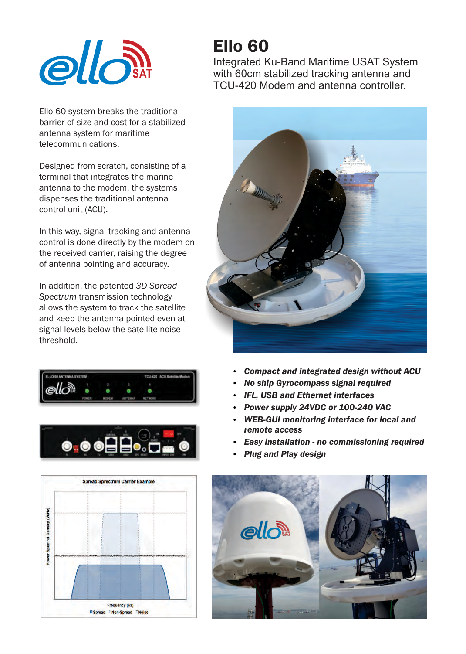

Ello 60 system breaks the traditional barrier of size and cost for a stabilized antenna system for maritime telecommunications.

Designed from scratch, consisting of a terminal that integrates the marine antenna to the modem, the systems dispenses the traditional antenna control unit (ACU).

In this way, signal tracking and antenna control is done directly by the modem on the received carrier, raising the degree of antenna pointing and accuracy.

In addition, the patented *3D Spread Spectrum* transmission technology allows the system to track the satellite and keep the antenna pointed even at signal levels below the satellite noise threshold.







## Ello 60

Integrated Ku-Band Maritime USAT System with 60cm stabilized tracking antenna and TCU-420 Modem and antenna controller.



- $\bullet$ *Compact and integrated design without ACU*
- **No ship Gyrocompass signal required**
- **IFL, USB and Ethernet interfaces**
- $\bullet$ *Power supply 24VDC or 100-240 VAC*
- **WEB-GUI monitoring interface for local and** *remote access*
- $\bullet$ *Easy installation - no commissioning required*
- $\bullet$ *Plug and Play design*